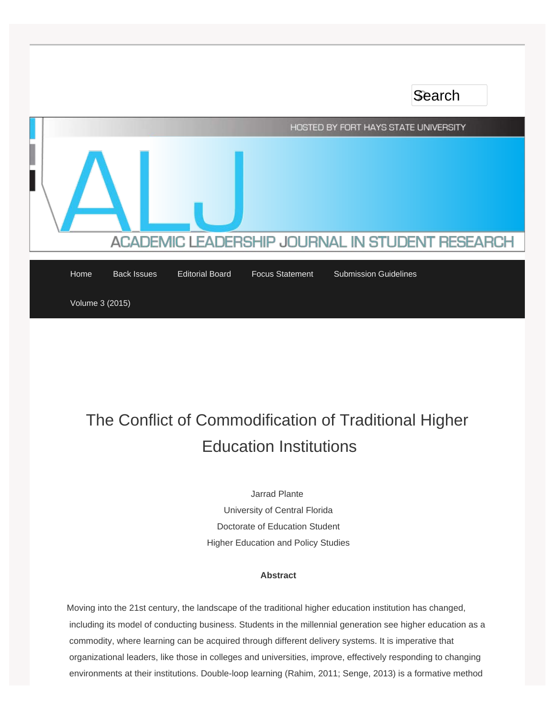

# The Conflict of Commodification of Traditional Higher Education Institutions

Jarrad Plante University of Central Florida Doctorate of Education Student Higher Education and Policy Studies

# **Abstract**

Moving into the 21st century, the landscape of the traditional higher education institution has changed, including its model of conducting business. Students in the millennial generation see higher education as a commodity, where learning can be acquired through different delivery systems. It is imperative that organizational leaders, like those in colleges and universities, improve, effectively responding to changing environments at their institutions. Double-loop learning (Rahim, 2011; Senge, 2013) is a formative method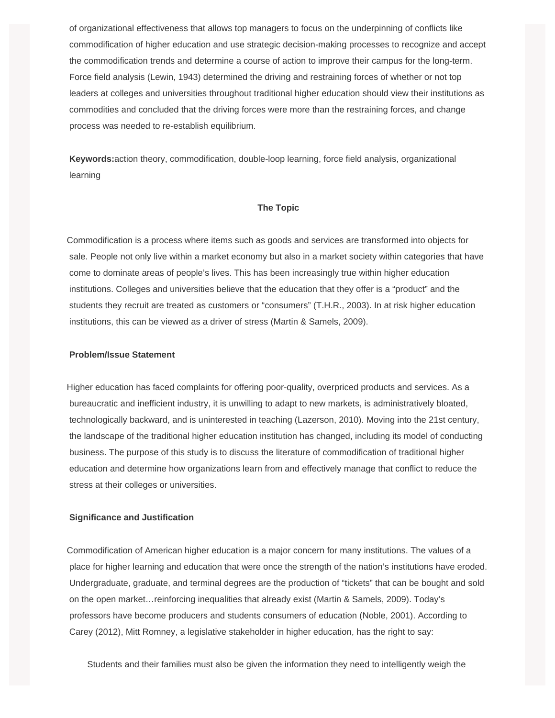of organizational effectiveness that allows top managers to focus on the underpinning of conflicts like commodification of higher education and use strategic decision-making processes to recognize and accept the commodification trends and determine a course of action to improve their campus for the long-term. Force field analysis (Lewin, 1943) determined the driving and restraining forces of whether or not top leaders at colleges and universities throughout traditional higher education should view their institutions as commodities and concluded that the driving forces were more than the restraining forces, and change process was needed to re-establish equilibrium.

 **Keywords:**action theory, commodification, double-loop learning, force field analysis, organizational learning

# **The Topic**

Commodification is a process where items such as goods and services are transformed into objects for sale. People not only live within a market economy but also in a market society within categories that have come to dominate areas of people's lives. This has been increasingly true within higher education institutions. Colleges and universities believe that the education that they offer is a "product" and the students they recruit are treated as customers or "consumers" (T.H.R., 2003). In at risk higher education institutions, this can be viewed as a driver of stress (Martin & Samels, 2009).

# **Problem/Issue Statement**

Higher education has faced complaints for offering poor-quality, overpriced products and services. As a bureaucratic and inefficient industry, it is unwilling to adapt to new markets, is administratively bloated, technologically backward, and is uninterested in teaching (Lazerson, 2010). Moving into the 21st century, the landscape of the traditional higher education institution has changed, including its model of conducting business. The purpose of this study is to discuss the literature of commodification of traditional higher education and determine how organizations learn from and effectively manage that conflict to reduce the stress at their colleges or universities.

# **Significance and Justification**

Commodification of American higher education is a major concern for many institutions. The values of a place for higher learning and education that were once the strength of the nation's institutions have eroded. Undergraduate, graduate, and terminal degrees are the production of "tickets" that can be bought and sold on the open market…reinforcing inequalities that already exist (Martin & Samels, 2009). Today's professors have become producers and students consumers of education (Noble, 2001). According to Carey (2012), Mitt Romney, a legislative stakeholder in higher education, has the right to say:

Students and their families must also be given the information they need to intelligently weigh the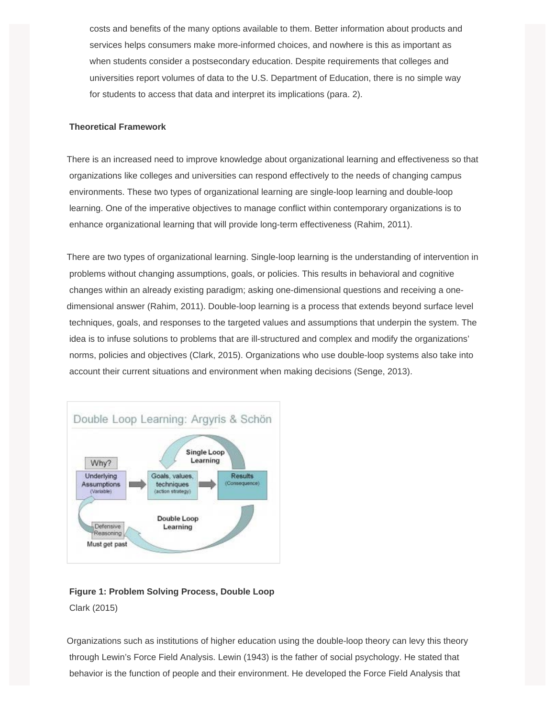costs and benefits of the many options available to them. Better information about products and services helps consumers make more-informed choices, and nowhere is this as important as when students consider a postsecondary education. Despite requirements that colleges and universities report volumes of data to the U.S. Department of Education, there is no simple way for students to access that data and interpret its implications (para. 2).

# **Theoretical Framework**

There is an increased need to improve knowledge about organizational learning and effectiveness so that organizations like colleges and universities can respond effectively to the needs of changing campus environments. These two types of organizational learning are single-loop learning and double-loop learning. One of the imperative objectives to manage conflict within contemporary organizations is to enhance organizational learning that will provide long-term effectiveness (Rahim, 2011).

There are two types of organizational learning. Single-loop learning is the understanding of intervention in problems without changing assumptions, goals, or policies. This results in behavioral and cognitive changes within an already existing paradigm; asking one-dimensional questions and receiving a onedimensional answer (Rahim, 2011). Double-loop learning is a process that extends beyond surface level techniques, goals, and responses to the targeted values and assumptions that underpin the system. The idea is to infuse solutions to problems that are ill-structured and complex and modify the organizations' norms, policies and objectives (Clark, 2015). Organizations who use double-loop systems also take into account their current situations and environment when making decisions (Senge, 2013).



# **Figure 1: Problem Solving Process, Double Loop**  Clark (2015)

Organizations such as institutions of higher education using the double-loop theory can levy this theory through Lewin's Force Field Analysis. Lewin (1943) is the father of social psychology. He stated that behavior is the function of people and their environment. He developed the Force Field Analysis that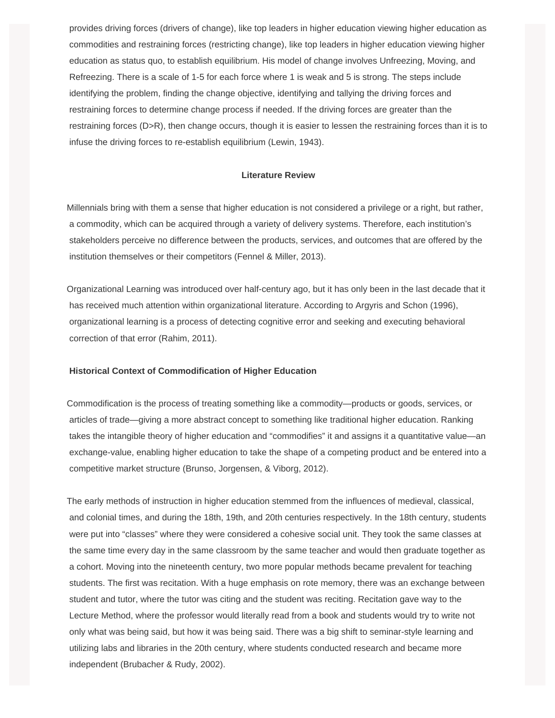provides driving forces (drivers of change), like top leaders in higher education viewing higher education as commodities and restraining forces (restricting change), like top leaders in higher education viewing higher education as status quo, to establish equilibrium. His model of change involves Unfreezing, Moving, and Refreezing. There is a scale of 1-5 for each force where 1 is weak and 5 is strong. The steps include identifying the problem, finding the change objective, identifying and tallying the driving forces and restraining forces to determine change process if needed. If the driving forces are greater than the restraining forces (D>R), then change occurs, though it is easier to lessen the restraining forces than it is to infuse the driving forces to re-establish equilibrium (Lewin, 1943).

# **Literature Review**

Millennials bring with them a sense that higher education is not considered a privilege or a right, but rather, a commodity, which can be acquired through a variety of delivery systems. Therefore, each institution's stakeholders perceive no difference between the products, services, and outcomes that are offered by the institution themselves or their competitors (Fennel & Miller, 2013).

Organizational Learning was introduced over half-century ago, but it has only been in the last decade that it has received much attention within organizational literature. According to Argyris and Schon (1996), organizational learning is a process of detecting cognitive error and seeking and executing behavioral correction of that error (Rahim, 2011).

#### **Historical Context of Commodification of Higher Education**

Commodification is the process of treating something like a commodity—products or goods, services, or articles of trade—giving a more abstract concept to something like traditional higher education. Ranking takes the intangible theory of higher education and "commodifies" it and assigns it a quantitative value—an exchange-value, enabling higher education to take the shape of a competing product and be entered into a competitive market structure (Brunso, Jorgensen, & Viborg, 2012).

The early methods of instruction in higher education stemmed from the influences of medieval, classical, and colonial times, and during the 18th, 19th, and 20th centuries respectively. In the 18th century, students were put into "classes" where they were considered a cohesive social unit. They took the same classes at the same time every day in the same classroom by the same teacher and would then graduate together as a cohort. Moving into the nineteenth century, two more popular methods became prevalent for teaching students. The first was recitation. With a huge emphasis on rote memory, there was an exchange between student and tutor, where the tutor was citing and the student was reciting. Recitation gave way to the Lecture Method, where the professor would literally read from a book and students would try to write not only what was being said, but how it was being said. There was a big shift to seminar-style learning and utilizing labs and libraries in the 20th century, where students conducted research and became more independent (Brubacher & Rudy, 2002).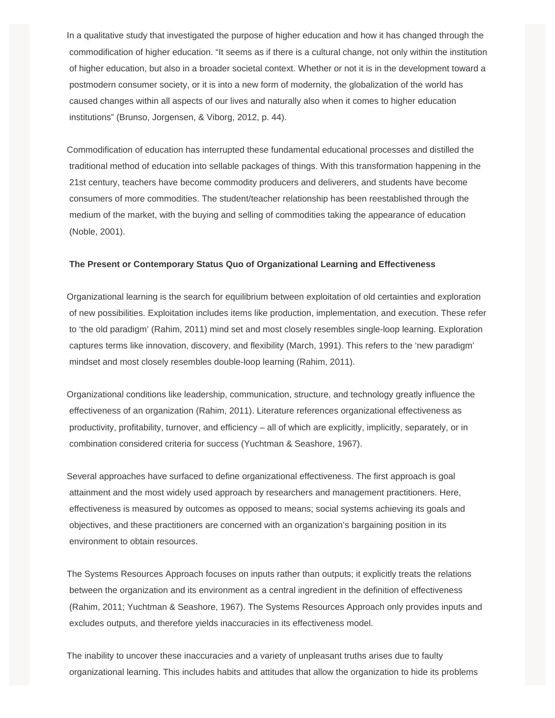In a qualitative study that investigated the purpose of higher education and how it has changed through the commodification of higher education. "It seems as if there is a cultural change, not only within the institution of higher education, but also in a broader societal context. Whether or not it is in the development toward a postmodern consumer society, or it is into a new form of modernity, the globalization of the world has caused changes within all aspects of our lives and naturally also when it comes to higher education institutions" (Brunso, Jorgensen, & Viborg, 2012, p. 44).

Commodification of education has interrupted these fundamental educational processes and distilled the traditional method of education into sellable packages of things. With this transformation happening in the 21st century, teachers have become commodity producers and deliverers, and students have become consumers of more commodities. The student/teacher relationship has been reestablished through the medium of the market, with the buying and selling of commodities taking the appearance of education (Noble, 2001).

# **The Present or Contemporary Status Quo of Organizational Learning and Effectiveness**

Organizational learning is the search for equilibrium between exploitation of old certainties and exploration of new possibilities. Exploitation includes items like production, implementation, and execution. These refer to 'the old paradigm' (Rahim, 2011) mind set and most closely resembles single-loop learning. Exploration captures terms like innovation, discovery, and flexibility (March, 1991). This refers to the 'new paradigm' mindset and most closely resembles double-loop learning (Rahim, 2011).

Organizational conditions like leadership, communication, structure, and technology greatly influence the effectiveness of an organization (Rahim, 2011). Literature references organizational effectiveness as productivity, profitability, turnover, and efficiency – all of which are explicitly, implicitly, separately, or in combination considered criteria for success (Yuchtman & Seashore, 1967).

Several approaches have surfaced to define organizational effectiveness. The first approach is goal attainment and the most widely used approach by researchers and management practitioners. Here, effectiveness is measured by outcomes as opposed to means; social systems achieving its goals and objectives, and these practitioners are concerned with an organization's bargaining position in its environment to obtain resources.

The Systems Resources Approach focuses on inputs rather than outputs; it explicitly treats the relations between the organization and its environment as a central ingredient in the definition of effectiveness (Rahim, 2011; Yuchtman & Seashore, 1967). The Systems Resources Approach only provides inputs and excludes outputs, and therefore yields inaccuracies in its effectiveness model.

The inability to uncover these inaccuracies and a variety of unpleasant truths arises due to faulty organizational learning. This includes habits and attitudes that allow the organization to hide its problems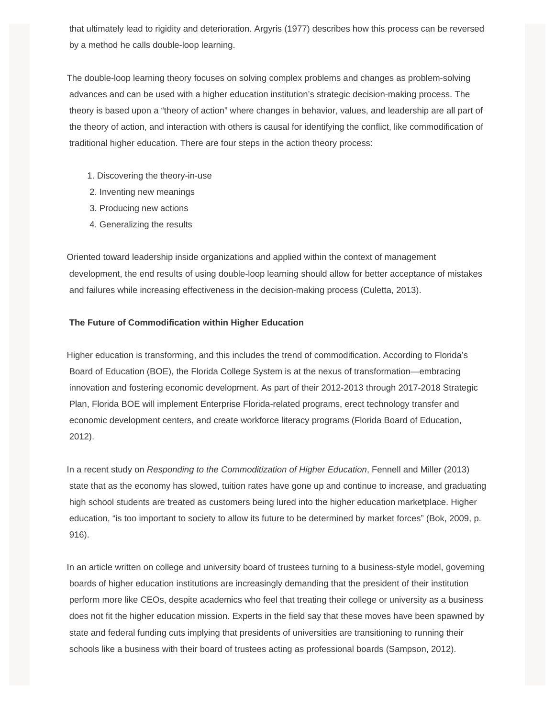that ultimately lead to rigidity and deterioration. Argyris (1977) describes how this process can be reversed by a method he calls double-loop learning.

The double-loop learning theory focuses on solving complex problems and changes as problem-solving advances and can be used with a higher education institution's strategic decision-making process. The theory is based upon a "theory of action" where changes in behavior, values, and leadership are all part of the theory of action, and interaction with others is causal for identifying the conflict, like commodification of traditional higher education. There are four steps in the action theory process:

- 1. Discovering the theory-in-use
- 2. Inventing new meanings
- 3. Producing new actions
- 4. Generalizing the results

Oriented toward leadership inside organizations and applied within the context of management development, the end results of using double-loop learning should allow for better acceptance of mistakes and failures while increasing effectiveness in the decision-making process (Culetta, 2013).

# **The Future of Commodification within Higher Education**

Higher education is transforming, and this includes the trend of commodification. According to Florida's Board of Education (BOE), the Florida College System is at the nexus of transformation—embracing innovation and fostering economic development. As part of their 2012-2013 through 2017-2018 Strategic Plan, Florida BOE will implement Enterprise Florida-related programs, erect technology transfer and economic development centers, and create workforce literacy programs (Florida Board of Education, 2012).

In a recent study on *Responding to the Commoditization of Higher Education*, Fennell and Miller (2013) state that as the economy has slowed, tuition rates have gone up and continue to increase, and graduating high school students are treated as customers being lured into the higher education marketplace. Higher education, "is too important to society to allow its future to be determined by market forces" (Bok, 2009, p. 916).

In an article written on college and university board of trustees turning to a business-style model, governing boards of higher education institutions are increasingly demanding that the president of their institution perform more like CEOs, despite academics who feel that treating their college or university as a business does not fit the higher education mission. Experts in the field say that these moves have been spawned by state and federal funding cuts implying that presidents of universities are transitioning to running their schools like a business with their board of trustees acting as professional boards (Sampson, 2012).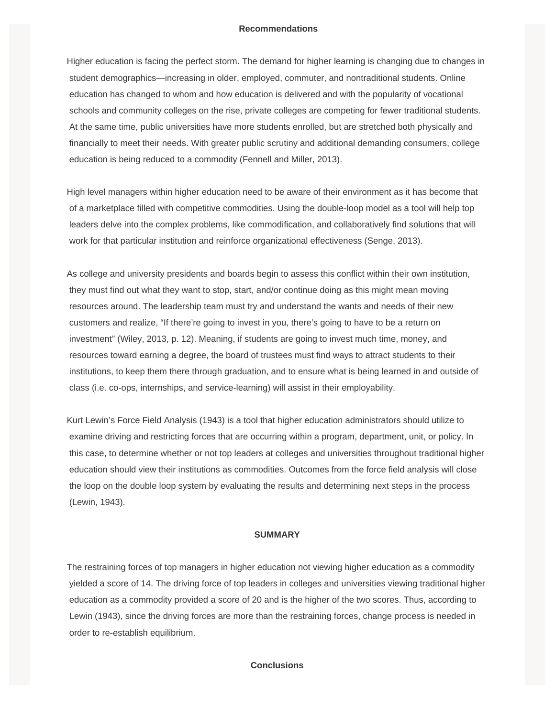## **Recommendations**

Higher education is facing the perfect storm. The demand for higher learning is changing due to changes in student demographics—increasing in older, employed, commuter, and nontraditional students. Online education has changed to whom and how education is delivered and with the popularity of vocational schools and community colleges on the rise, private colleges are competing for fewer traditional students. At the same time, public universities have more students enrolled, but are stretched both physically and financially to meet their needs. With greater public scrutiny and additional demanding consumers, college education is being reduced to a commodity (Fennell and Miller, 2013).

High level managers within higher education need to be aware of their environment as it has become that of a marketplace filled with competitive commodities. Using the double-loop model as a tool will help top leaders delve into the complex problems, like commodification, and collaboratively find solutions that will work for that particular institution and reinforce organizational effectiveness (Senge, 2013).

As college and university presidents and boards begin to assess this conflict within their own institution, they must find out what they want to stop, start, and/or continue doing as this might mean moving resources around. The leadership team must try and understand the wants and needs of their new customers and realize, "If there're going to invest in you, there's going to have to be a return on investment" (Wiley, 2013, p. 12). Meaning, if students are going to invest much time, money, and resources toward earning a degree, the board of trustees must find ways to attract students to their institutions, to keep them there through graduation, and to ensure what is being learned in and outside of class (i.e. co-ops, internships, and service-learning) will assist in their employability.

Kurt Lewin's Force Field Analysis (1943) is a tool that higher education administrators should utilize to examine driving and restricting forces that are occurring within a program, department, unit, or policy. In this case, to determine whether or not top leaders at colleges and universities throughout traditional higher education should view their institutions as commodities. Outcomes from the force field analysis will close the loop on the double loop system by evaluating the results and determining next steps in the process (Lewin, 1943).

# **SUMMARY**

The restraining forces of top managers in higher education not viewing higher education as a commodity yielded a score of 14. The driving force of top leaders in colleges and universities viewing traditional higher education as a commodity provided a score of 20 and is the higher of the two scores. Thus, according to Lewin (1943), since the driving forces are more than the restraining forces, change process is needed in order to re-establish equilibrium.

#### **Conclusions**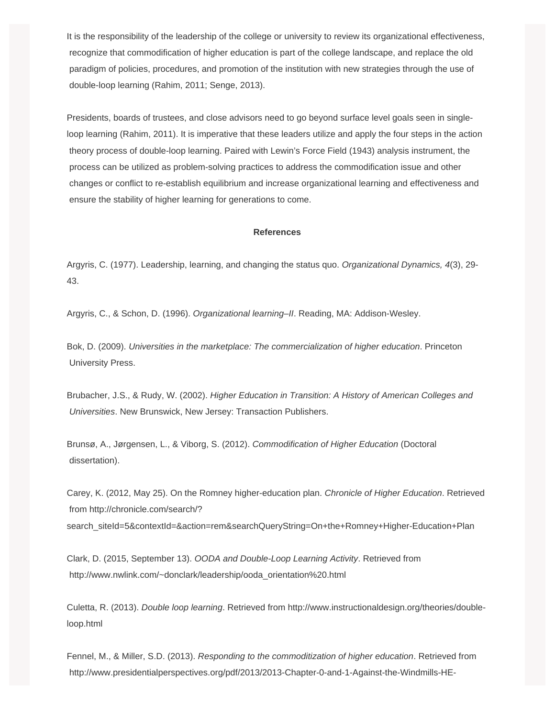It is the responsibility of the leadership of the college or university to review its organizational effectiveness, recognize that commodification of higher education is part of the college landscape, and replace the old paradigm of policies, procedures, and promotion of the institution with new strategies through the use of double-loop learning (Rahim, 2011; Senge, 2013).

Presidents, boards of trustees, and close advisors need to go beyond surface level goals seen in singleloop learning (Rahim, 2011). It is imperative that these leaders utilize and apply the four steps in the action theory process of double-loop learning. Paired with Lewin's Force Field (1943) analysis instrument, the process can be utilized as problem-solving practices to address the commodification issue and other changes or conflict to re-establish equilibrium and increase organizational learning and effectiveness and ensure the stability of higher learning for generations to come.

#### **References**

Argyris, C. (1977). Leadership, learning, and changing the status quo. *Organizational Dynamics, 4*(3), 29- 43.

Argyris, C., & Schon, D. (1996). *Organizational learning–II*. Reading, MA: Addison-Wesley.

Bok, D. (2009). *Universities in the marketplace: The commercialization of higher education*. Princeton University Press.

Brubacher, J.S., & Rudy, W. (2002). *Higher Education in Transition: A History of American Colleges and Universities*. New Brunswick, New Jersey: Transaction Publishers.

Brunsø, A., Jørgensen, L., & Viborg, S. (2012). *Commodification of Higher Education* (Doctoral dissertation).

Carey, K. (2012, May 25). On the Romney higher-education plan. *Chronicle of Higher Education*. Retrieved from http://chronicle.com/search/? search\_siteId=5&contextId=&action=rem&searchQueryString=On+the+Romney+Higher-Education+Plan

Clark, D. (2015, September 13). *OODA and Double-Loop Learning Activity*. Retrieved from http://www.nwlink.com/~donclark/leadership/ooda\_orientation%20.html

Culetta, R. (2013). *Double loop learning*. Retrieved from http://www.instructionaldesign.org/theories/doubleloop.html

Fennel, M., & Miller, S.D. (2013). *Responding to the commoditization of higher education*. Retrieved from http://www.presidentialperspectives.org/pdf/2013/2013-Chapter-0-and-1-Against-the-Windmills-HE-